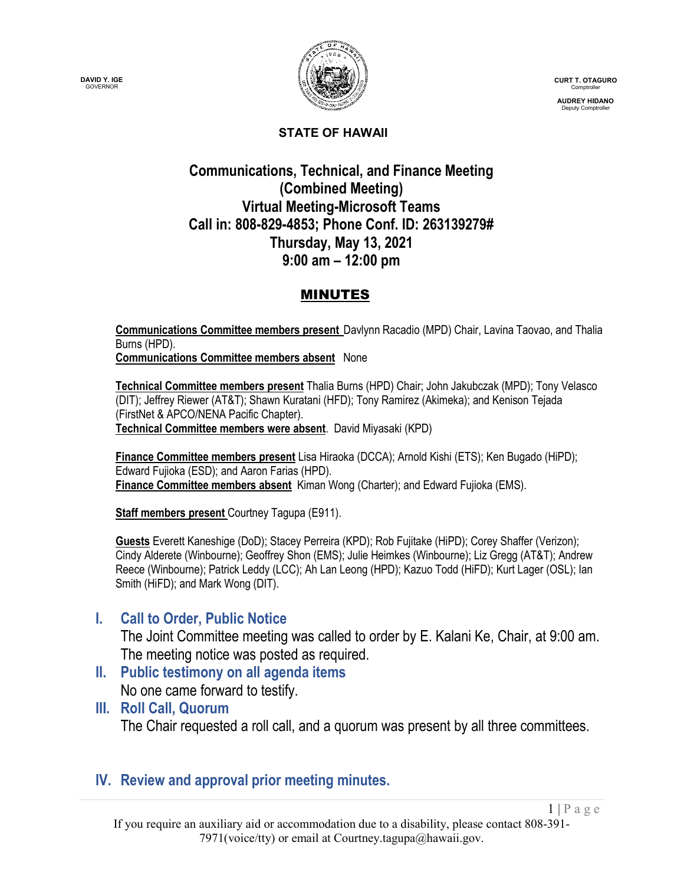



**CURT T. OTAGURO** Comptroller

**AUDREY HIDANO** Deputy Comptroller

 $1 | P \text{ a } g \text{ e}$ 

#### **STATE OF HAWAII**

## **Communications, Technical, and Finance Meeting (Combined Meeting) Virtual Meeting-Microsoft Teams Call in: 808-829-4853; Phone Conf. ID: 263139279# Thursday, May 13, 2021 9:00 am – 12:00 pm**

### MINUTES

**Communications Committee members present** Davlynn Racadio (MPD) Chair, Lavina Taovao, and Thalia Burns (HPD). **Communications Committee members absent** None

**Technical Committee members present** Thalia Burns (HPD) Chair; John Jakubczak (MPD); Tony Velasco (DIT); Jeffrey Riewer (AT&T); Shawn Kuratani (HFD); Tony Ramirez (Akimeka); and Kenison Tejada (FirstNet & APCO/NENA Pacific Chapter). **Technical Committee members were absent**. David Miyasaki (KPD)

**Finance Committee members present** Lisa Hiraoka (DCCA); Arnold Kishi (ETS); Ken Bugado (HiPD); Edward Fujioka (ESD); and Aaron Farias (HPD). **Finance Committee members absent** Kiman Wong (Charter); and Edward Fujioka (EMS).

**Staff members present** Courtney Tagupa (E911).

**Guests** Everett Kaneshige (DoD); Stacey Perreira (KPD); Rob Fujitake (HiPD); Corey Shaffer (Verizon); Cindy Alderete (Winbourne); Geoffrey Shon (EMS); Julie Heimkes (Winbourne); Liz Gregg (AT&T); Andrew Reece (Winbourne); Patrick Leddy (LCC); Ah Lan Leong (HPD); Kazuo Todd (HiFD); Kurt Lager (OSL); Ian Smith (HiFD); and Mark Wong (DIT).

### **I. Call to Order, Public Notice**

The Joint Committee meeting was called to order by E. Kalani Ke, Chair, at 9:00 am. The meeting notice was posted as required.

- **II. Public testimony on all agenda items** No one came forward to testify.
- **III. Roll Call, Quorum**

The Chair requested a roll call, and a quorum was present by all three committees.

### **IV. Review and approval prior meeting minutes.**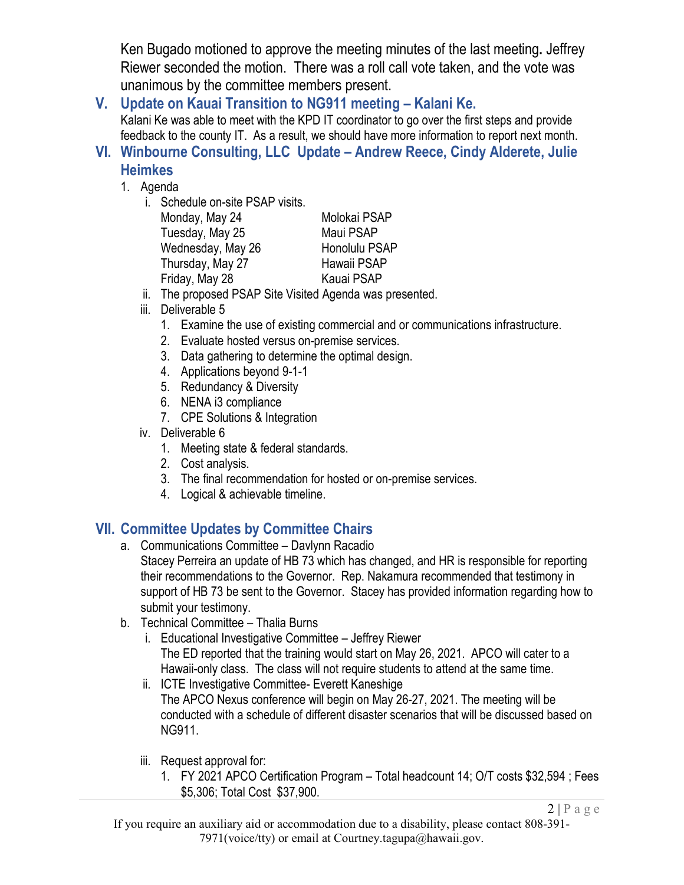Ken Bugado motioned to approve the meeting minutes of the last meeting**.** Jeffrey Riewer seconded the motion. There was a roll call vote taken, and the vote was unanimous by the committee members present.

**V. Update on Kauai Transition to NG911 meeting – Kalani Ke.** Kalani Ke was able to meet with the KPD IT coordinator to go over the first steps and provide feedback to the county IT. As a result, we should have more information to report next month.

- **VI. Winbourne Consulting, LLC Update – Andrew Reece, Cindy Alderete, Julie Heimkes**
	- 1. Agenda
		- i. Schedule on-site PSAP visits.

| Monday, May 24    | Molokai PSAP         |
|-------------------|----------------------|
| Tuesday, May 25   | Maui PSAP            |
| Wednesday, May 26 | <b>Honolulu PSAP</b> |
| Thursday, May 27  | Hawaii PSAP          |
| Friday, May 28    | Kauai PSAP           |
|                   |                      |

- ii. The proposed PSAP Site Visited Agenda was presented.
- iii. Deliverable 5
	- 1. Examine the use of existing commercial and or communications infrastructure.
	- 2. Evaluate hosted versus on-premise services.
	- 3. Data gathering to determine the optimal design.
	- 4. Applications beyond 9-1-1
	- 5. Redundancy & Diversity
	- 6. NENA i3 compliance
	- 7. CPE Solutions & Integration
- iv. Deliverable 6
	- 1. Meeting state & federal standards.
	- 2. Cost analysis.
	- 3. The final recommendation for hosted or on-premise services.
	- 4. Logical & achievable timeline.

# **VII. Committee Updates by Committee Chairs**

- a. Communications Committee Davlynn Racadio
	- Stacey Perreira an update of HB 73 which has changed, and HR is responsible for reporting their recommendations to the Governor. Rep. Nakamura recommended that testimony in support of HB 73 be sent to the Governor. Stacey has provided information regarding how to submit your testimony.
- b. Technical Committee Thalia Burns
	- i. Educational Investigative Committee Jeffrey Riewer The ED reported that the training would start on May 26, 2021. APCO will cater to a Hawaii-only class. The class will not require students to attend at the same time.
	- ii. ICTE Investigative Committee- Everett Kaneshige The APCO Nexus conference will begin on May 26-27, 2021. The meeting will be conducted with a schedule of different disaster scenarios that will be discussed based on NG911.
	- iii. Request approval for:
		- 1. FY 2021 APCO Certification Program Total headcount 14; O/T costs \$32,594 ; Fees \$5,306; Total Cost \$37,900.

 $2 | P \text{ a ge}$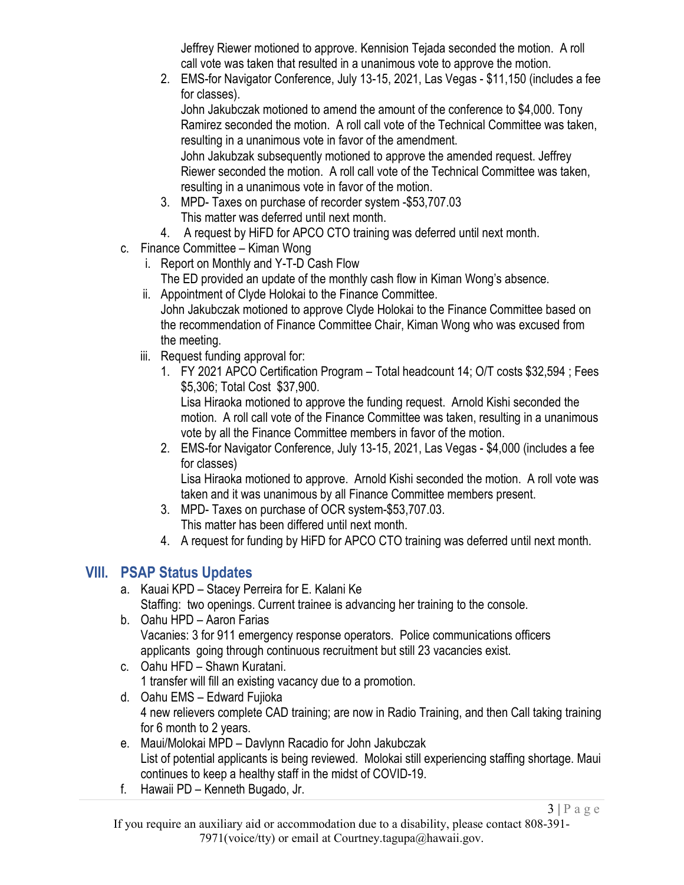Jeffrey Riewer motioned to approve. Kennision Tejada seconded the motion. A roll call vote was taken that resulted in a unanimous vote to approve the motion.

2. EMS-for Navigator Conference, July 13-15, 2021, Las Vegas - \$11,150 (includes a fee for classes).

John Jakubczak motioned to amend the amount of the conference to \$4,000. Tony Ramirez seconded the motion. A roll call vote of the Technical Committee was taken, resulting in a unanimous vote in favor of the amendment.

John Jakubzak subsequently motioned to approve the amended request. Jeffrey Riewer seconded the motion. A roll call vote of the Technical Committee was taken, resulting in a unanimous vote in favor of the motion.

- 3. MPD- Taxes on purchase of recorder system -\$53,707.03 This matter was deferred until next month.
- 4. A request by HiFD for APCO CTO training was deferred until next month.
- c. Finance Committee Kiman Wong
	- i. Report on Monthly and Y-T-D Cash Flow The ED provided an update of the monthly cash flow in Kiman Wong's absence.
	- ii. Appointment of Clyde Holokai to the Finance Committee. John Jakubczak motioned to approve Clyde Holokai to the Finance Committee based on the recommendation of Finance Committee Chair, Kiman Wong who was excused from the meeting.
	- iii. Request funding approval for:
		- 1. FY 2021 APCO Certification Program Total headcount 14; O/T costs \$32,594 ; Fees \$5,306; Total Cost \$37,900.

Lisa Hiraoka motioned to approve the funding request. Arnold Kishi seconded the motion. A roll call vote of the Finance Committee was taken, resulting in a unanimous vote by all the Finance Committee members in favor of the motion.

2. EMS-for Navigator Conference, July 13-15, 2021, Las Vegas - \$4,000 (includes a fee for classes)

Lisa Hiraoka motioned to approve. Arnold Kishi seconded the motion. A roll vote was taken and it was unanimous by all Finance Committee members present.

- 3. MPD- Taxes on purchase of OCR system-\$53,707.03. This matter has been differed until next month.
- 4. A request for funding by HiFD for APCO CTO training was deferred until next month.

## **VIII. PSAP Status Updates**

- a. Kauai KPD Stacey Perreira for E. Kalani Ke Staffing: two openings. Current trainee is advancing her training to the console.
- b. Oahu HPD Aaron Farias Vacanies: 3 for 911 emergency response operators. Police communications officers applicants going through continuous recruitment but still 23 vacancies exist.
- c. Oahu HFD Shawn Kuratani. 1 transfer will fill an existing vacancy due to a promotion.
- d. Oahu EMS Edward Fujioka 4 new relievers complete CAD training; are now in Radio Training, and then Call taking training for 6 month to 2 years.
- e. Maui/Molokai MPD Davlynn Racadio for John Jakubczak List of potential applicants is being reviewed. Molokai still experiencing staffing shortage. Maui continues to keep a healthy staff in the midst of COVID-19.
- f. Hawaii PD Kenneth Bugado, Jr.